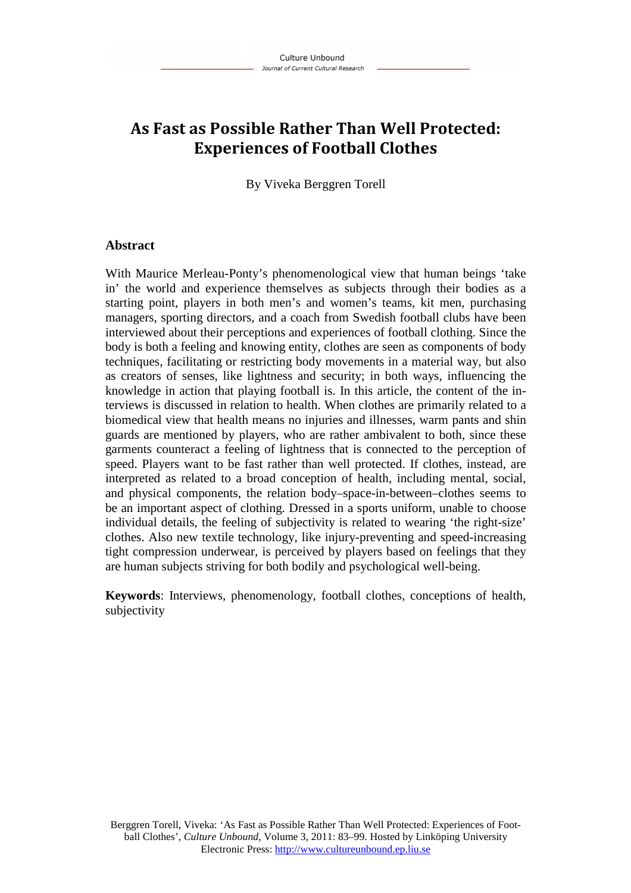# **As Fast as Possible Rather Than Well Protected: Experiences of Football Clothes**

By Viveka Berggren Torell

### **Abstract**

With Maurice Merleau-Ponty's phenomenological view that human beings 'take in' the world and experience themselves as subjects through their bodies as a starting point, players in both men's and women's teams, kit men, purchasing managers, sporting directors, and a coach from Swedish football clubs have been interviewed about their perceptions and experiences of football clothing. Since the body is both a feeling and knowing entity, clothes are seen as components of body techniques, facilitating or restricting body movements in a material way, but also as creators of senses, like lightness and security; in both ways, influencing the knowledge in action that playing football is. In this article, the content of the interviews is discussed in relation to health. When clothes are primarily related to a biomedical view that health means no injuries and illnesses, warm pants and shin guards are mentioned by players, who are rather ambivalent to both, since these garments counteract a feeling of lightness that is connected to the perception of speed. Players want to be fast rather than well protected. If clothes, instead, are interpreted as related to a broad conception of health, including mental, social, and physical components, the relation body–space-in-between–clothes seems to be an important aspect of clothing. Dressed in a sports uniform, unable to choose individual details, the feeling of subjectivity is related to wearing 'the right-size' clothes. Also new textile technology, like injury-preventing and speed-increasing tight compression underwear, is perceived by players based on feelings that they are human subjects striving for both bodily and psychological well-being.

**Keywords**: Interviews, phenomenology, football clothes, conceptions of health, subjectivity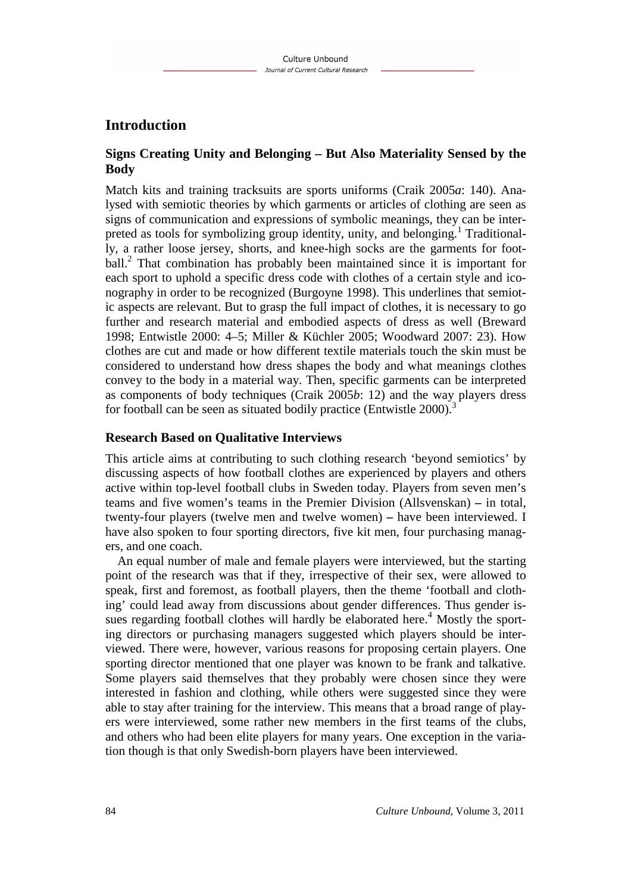# **Introduction**

## **Signs Creating Unity and Belonging – But Also Materiality Sensed by the Body**

Match kits and training tracksuits are sports uniforms (Craik 2005*a*: 140). Analysed with semiotic theories by which garments or articles of clothing are seen as signs of communication and expressions of symbolic meanings, they can be interpreted as tools for symbolizing group identity, unity, and belonging.<sup>1</sup> Traditionally, a rather loose jersey, shorts, and knee-high socks are the garments for football.<sup>2</sup> That combination has probably been maintained since it is important for each sport to uphold a specific dress code with clothes of a certain style and iconography in order to be recognized (Burgoyne 1998). This underlines that semiotic aspects are relevant. But to grasp the full impact of clothes, it is necessary to go further and research material and embodied aspects of dress as well (Breward 1998; Entwistle 2000: 4–5; Miller & Küchler 2005; Woodward 2007: 23). How clothes are cut and made or how different textile materials touch the skin must be considered to understand how dress shapes the body and what meanings clothes convey to the body in a material way. Then, specific garments can be interpreted as components of body techniques (Craik 2005*b*: 12) and the way players dress for football can be seen as situated bodily practice (Entwistle 2000).<sup>3</sup>

#### **Research Based on Qualitative Interviews**

This article aims at contributing to such clothing research 'beyond semiotics' by discussing aspects of how football clothes are experienced by players and others active within top-level football clubs in Sweden today. Players from seven men's teams and five women's teams in the Premier Division (Allsvenskan) **–** in total, twenty-four players (twelve men and twelve women) **–** have been interviewed. I have also spoken to four sporting directors, five kit men, four purchasing managers, and one coach.

An equal number of male and female players were interviewed, but the starting point of the research was that if they, irrespective of their sex, were allowed to speak, first and foremost, as football players, then the theme 'football and clothing' could lead away from discussions about gender differences. Thus gender issues regarding football clothes will hardly be elaborated here.<sup>4</sup> Mostly the sporting directors or purchasing managers suggested which players should be interviewed. There were, however, various reasons for proposing certain players. One sporting director mentioned that one player was known to be frank and talkative. Some players said themselves that they probably were chosen since they were interested in fashion and clothing, while others were suggested since they were able to stay after training for the interview. This means that a broad range of players were interviewed, some rather new members in the first teams of the clubs, and others who had been elite players for many years. One exception in the variation though is that only Swedish-born players have been interviewed.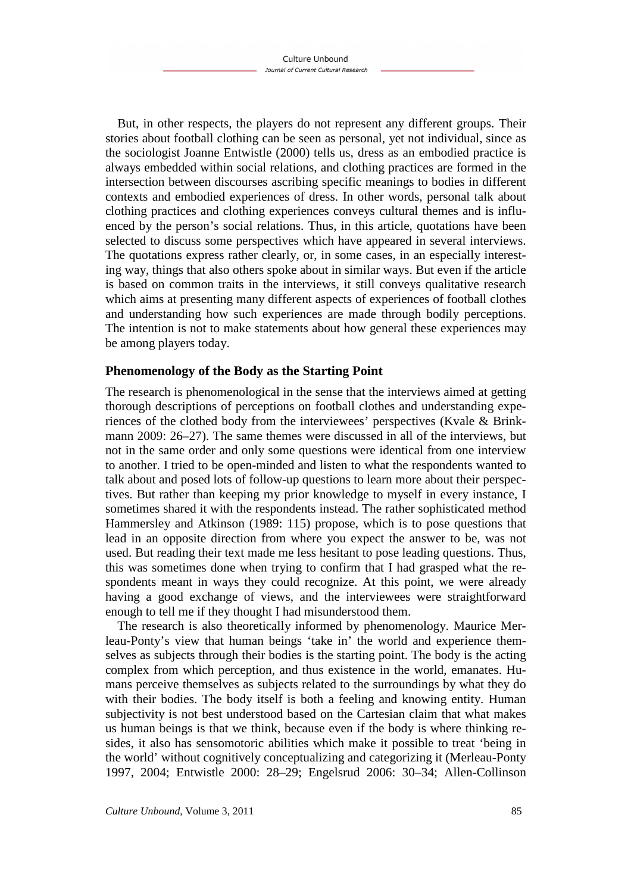But, in other respects, the players do not represent any different groups. Their stories about football clothing can be seen as personal, yet not individual, since as the sociologist Joanne Entwistle (2000) tells us, dress as an embodied practice is always embedded within social relations, and clothing practices are formed in the intersection between discourses ascribing specific meanings to bodies in different contexts and embodied experiences of dress. In other words, personal talk about clothing practices and clothing experiences conveys cultural themes and is influenced by the person's social relations. Thus, in this article, quotations have been selected to discuss some perspectives which have appeared in several interviews. The quotations express rather clearly, or, in some cases, in an especially interesting way, things that also others spoke about in similar ways. But even if the article is based on common traits in the interviews, it still conveys qualitative research which aims at presenting many different aspects of experiences of football clothes and understanding how such experiences are made through bodily perceptions. The intention is not to make statements about how general these experiences may be among players today.

#### **Phenomenology of the Body as the Starting Point**

The research is phenomenological in the sense that the interviews aimed at getting thorough descriptions of perceptions on football clothes and understanding experiences of the clothed body from the interviewees' perspectives (Kvale & Brinkmann 2009: 26–27). The same themes were discussed in all of the interviews, but not in the same order and only some questions were identical from one interview to another. I tried to be open-minded and listen to what the respondents wanted to talk about and posed lots of follow-up questions to learn more about their perspectives. But rather than keeping my prior knowledge to myself in every instance, I sometimes shared it with the respondents instead. The rather sophisticated method Hammersley and Atkinson (1989: 115) propose, which is to pose questions that lead in an opposite direction from where you expect the answer to be, was not used. But reading their text made me less hesitant to pose leading questions. Thus, this was sometimes done when trying to confirm that I had grasped what the respondents meant in ways they could recognize. At this point, we were already having a good exchange of views, and the interviewees were straightforward enough to tell me if they thought I had misunderstood them.

The research is also theoretically informed by phenomenology. Maurice Merleau-Ponty's view that human beings 'take in' the world and experience themselves as subjects through their bodies is the starting point. The body is the acting complex from which perception, and thus existence in the world, emanates. Humans perceive themselves as subjects related to the surroundings by what they do with their bodies. The body itself is both a feeling and knowing entity. Human subjectivity is not best understood based on the Cartesian claim that what makes us human beings is that we think, because even if the body is where thinking resides, it also has sensomotoric abilities which make it possible to treat 'being in the world' without cognitively conceptualizing and categorizing it (Merleau-Ponty 1997, 2004; Entwistle 2000: 28–29; Engelsrud 2006: 30–34; Allen-Collinson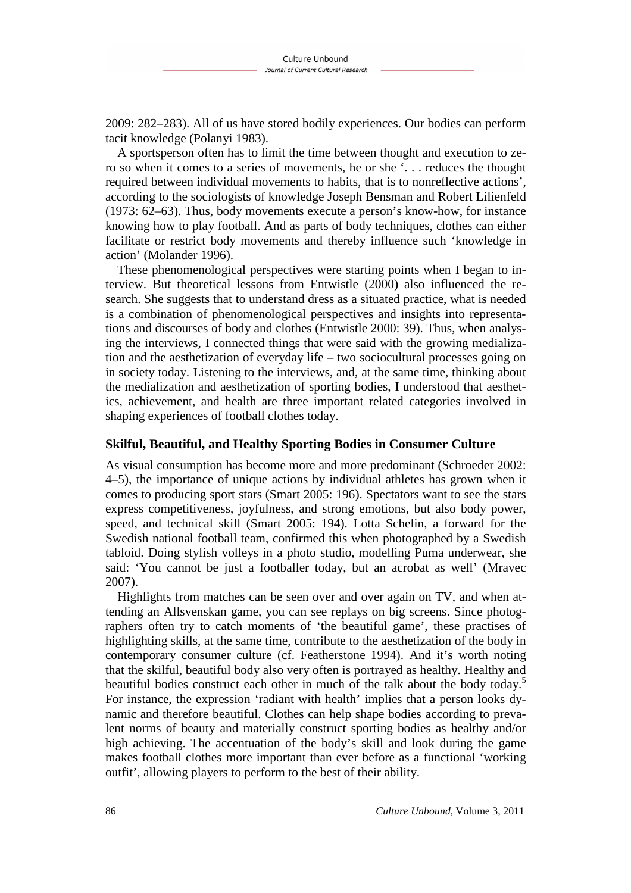2009: 282–283). All of us have stored bodily experiences. Our bodies can perform tacit knowledge (Polanyi 1983).

A sportsperson often has to limit the time between thought and execution to zero so when it comes to a series of movements, he or she '. . . reduces the thought required between individual movements to habits, that is to nonreflective actions', according to the sociologists of knowledge Joseph Bensman and Robert Lilienfeld (1973: 62–63). Thus, body movements execute a person's know-how, for instance knowing how to play football. And as parts of body techniques, clothes can either facilitate or restrict body movements and thereby influence such 'knowledge in action' (Molander 1996).

These phenomenological perspectives were starting points when I began to interview. But theoretical lessons from Entwistle (2000) also influenced the research. She suggests that to understand dress as a situated practice, what is needed is a combination of phenomenological perspectives and insights into representations and discourses of body and clothes (Entwistle 2000: 39). Thus, when analysing the interviews, I connected things that were said with the growing medialization and the aesthetization of everyday life – two sociocultural processes going on in society today. Listening to the interviews, and, at the same time, thinking about the medialization and aesthetization of sporting bodies, I understood that aesthetics, achievement, and health are three important related categories involved in shaping experiences of football clothes today.

#### **Skilful, Beautiful, and Healthy Sporting Bodies in Consumer Culture**

As visual consumption has become more and more predominant (Schroeder 2002: 4–5), the importance of unique actions by individual athletes has grown when it comes to producing sport stars (Smart 2005: 196). Spectators want to see the stars express competitiveness, joyfulness, and strong emotions, but also body power, speed, and technical skill (Smart 2005: 194). Lotta Schelin, a forward for the Swedish national football team, confirmed this when photographed by a Swedish tabloid. Doing stylish volleys in a photo studio, modelling Puma underwear, she said: 'You cannot be just a footballer today, but an acrobat as well' (Mravec 2007).

Highlights from matches can be seen over and over again on TV, and when attending an Allsvenskan game, you can see replays on big screens. Since photographers often try to catch moments of 'the beautiful game', these practises of highlighting skills, at the same time, contribute to the aesthetization of the body in contemporary consumer culture (cf. Featherstone 1994). And it's worth noting that the skilful, beautiful body also very often is portrayed as healthy. Healthy and beautiful bodies construct each other in much of the talk about the body today.<sup>5</sup> For instance, the expression 'radiant with health' implies that a person looks dynamic and therefore beautiful. Clothes can help shape bodies according to prevalent norms of beauty and materially construct sporting bodies as healthy and/or high achieving. The accentuation of the body's skill and look during the game makes football clothes more important than ever before as a functional 'working outfit', allowing players to perform to the best of their ability.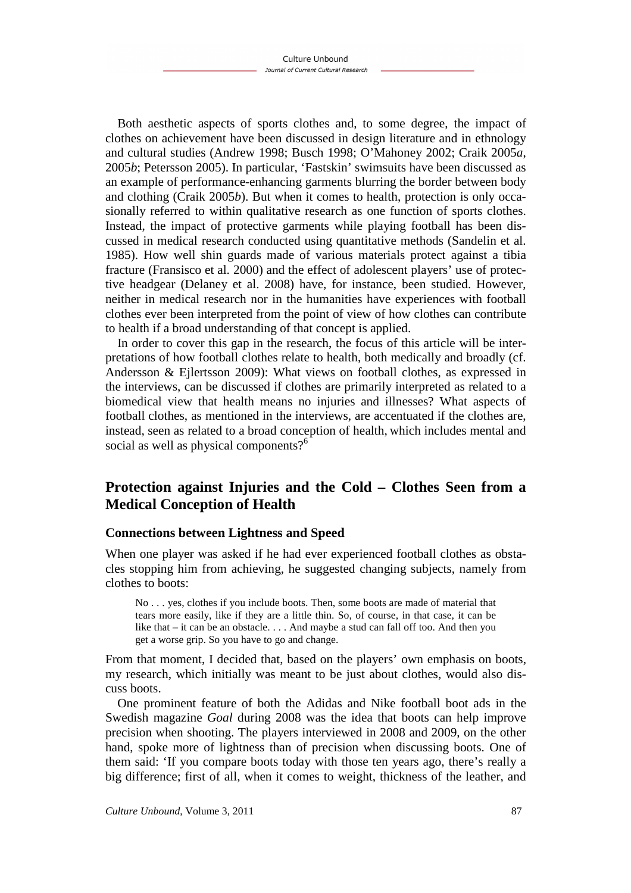Both aesthetic aspects of sports clothes and, to some degree, the impact of clothes on achievement have been discussed in design literature and in ethnology and cultural studies (Andrew 1998; Busch 1998; O'Mahoney 2002; Craik 2005*a*, 2005*b*; Petersson 2005). In particular, 'Fastskin' swimsuits have been discussed as an example of performance-enhancing garments blurring the border between body and clothing (Craik 2005*b*). But when it comes to health, protection is only occasionally referred to within qualitative research as one function of sports clothes. Instead, the impact of protective garments while playing football has been discussed in medical research conducted using quantitative methods (Sandelin et al. 1985). How well shin guards made of various materials protect against a tibia fracture (Fransisco et al. 2000) and the effect of adolescent players' use of protective headgear (Delaney et al. 2008) have, for instance, been studied. However, neither in medical research nor in the humanities have experiences with football clothes ever been interpreted from the point of view of how clothes can contribute to health if a broad understanding of that concept is applied.

In order to cover this gap in the research, the focus of this article will be interpretations of how football clothes relate to health, both medically and broadly (cf. Andersson & Ejlertsson 2009): What views on football clothes, as expressed in the interviews, can be discussed if clothes are primarily interpreted as related to a biomedical view that health means no injuries and illnesses? What aspects of football clothes, as mentioned in the interviews, are accentuated if the clothes are, instead, seen as related to a broad conception of health, which includes mental and social as well as physical components?<sup>6</sup>

# **Protection against Injuries and the Cold – Clothes Seen from a Medical Conception of Health**

#### **Connections between Lightness and Speed**

When one player was asked if he had ever experienced football clothes as obstacles stopping him from achieving, he suggested changing subjects, namely from clothes to boots:

No . . . yes, clothes if you include boots. Then, some boots are made of material that tears more easily, like if they are a little thin. So, of course, in that case, it can be like that – it can be an obstacle. . . . And maybe a stud can fall off too. And then you get a worse grip. So you have to go and change.

From that moment, I decided that, based on the players' own emphasis on boots, my research, which initially was meant to be just about clothes, would also discuss boots.

One prominent feature of both the Adidas and Nike football boot ads in the Swedish magazine *Goal* during 2008 was the idea that boots can help improve precision when shooting. The players interviewed in 2008 and 2009, on the other hand, spoke more of lightness than of precision when discussing boots. One of them said: 'If you compare boots today with those ten years ago, there's really a big difference; first of all, when it comes to weight, thickness of the leather, and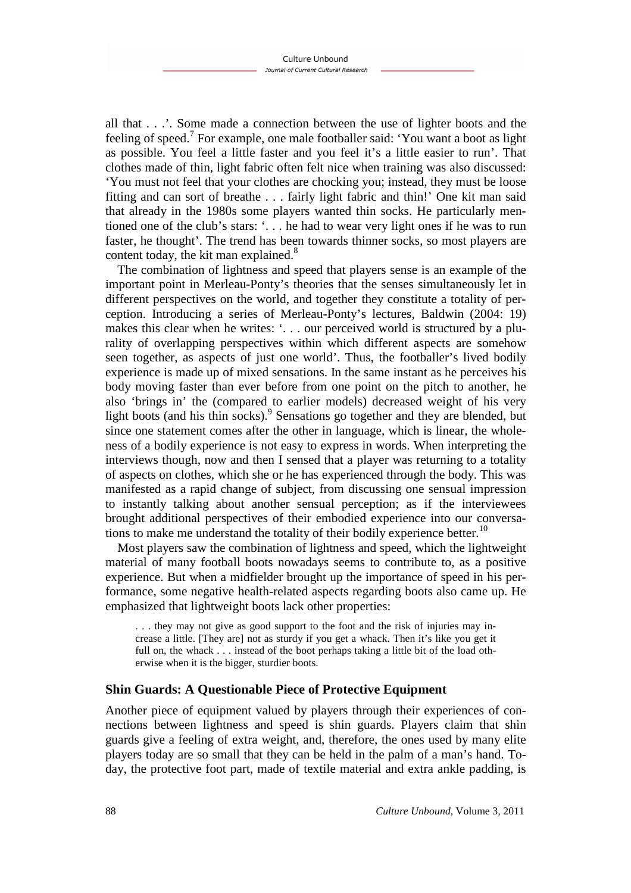all that . . .'. Some made a connection between the use of lighter boots and the feeling of speed.<sup>7</sup> For example, one male footballer said: 'You want a boot as light as possible. You feel a little faster and you feel it's a little easier to run'. That clothes made of thin, light fabric often felt nice when training was also discussed: 'You must not feel that your clothes are chocking you; instead, they must be loose fitting and can sort of breathe . . . fairly light fabric and thin!' One kit man said that already in the 1980s some players wanted thin socks. He particularly mentioned one of the club's stars: '. . . he had to wear very light ones if he was to run faster, he thought'. The trend has been towards thinner socks, so most players are content today, the kit man explained.<sup>8</sup>

The combination of lightness and speed that players sense is an example of the important point in Merleau-Ponty's theories that the senses simultaneously let in different perspectives on the world, and together they constitute a totality of perception. Introducing a series of Merleau-Ponty's lectures, Baldwin (2004: 19) makes this clear when he writes: '. . . our perceived world is structured by a plurality of overlapping perspectives within which different aspects are somehow seen together, as aspects of just one world'. Thus, the footballer's lived bodily experience is made up of mixed sensations. In the same instant as he perceives his body moving faster than ever before from one point on the pitch to another, he also 'brings in' the (compared to earlier models) decreased weight of his very light boots (and his thin socks).<sup>9</sup> Sensations go together and they are blended, but since one statement comes after the other in language, which is linear, the wholeness of a bodily experience is not easy to express in words. When interpreting the interviews though, now and then I sensed that a player was returning to a totality of aspects on clothes, which she or he has experienced through the body. This was manifested as a rapid change of subject, from discussing one sensual impression to instantly talking about another sensual perception; as if the interviewees brought additional perspectives of their embodied experience into our conversations to make me understand the totality of their bodily experience better.<sup>10</sup>

Most players saw the combination of lightness and speed, which the lightweight material of many football boots nowadays seems to contribute to, as a positive experience. But when a midfielder brought up the importance of speed in his performance, some negative health-related aspects regarding boots also came up. He emphasized that lightweight boots lack other properties:

. . . they may not give as good support to the foot and the risk of injuries may increase a little. [They are] not as sturdy if you get a whack. Then it's like you get it full on, the whack . . . instead of the boot perhaps taking a little bit of the load otherwise when it is the bigger, sturdier boots.

#### **Shin Guards: A Questionable Piece of Protective Equipment**

Another piece of equipment valued by players through their experiences of connections between lightness and speed is shin guards. Players claim that shin guards give a feeling of extra weight, and, therefore, the ones used by many elite players today are so small that they can be held in the palm of a man's hand. Today, the protective foot part, made of textile material and extra ankle padding, is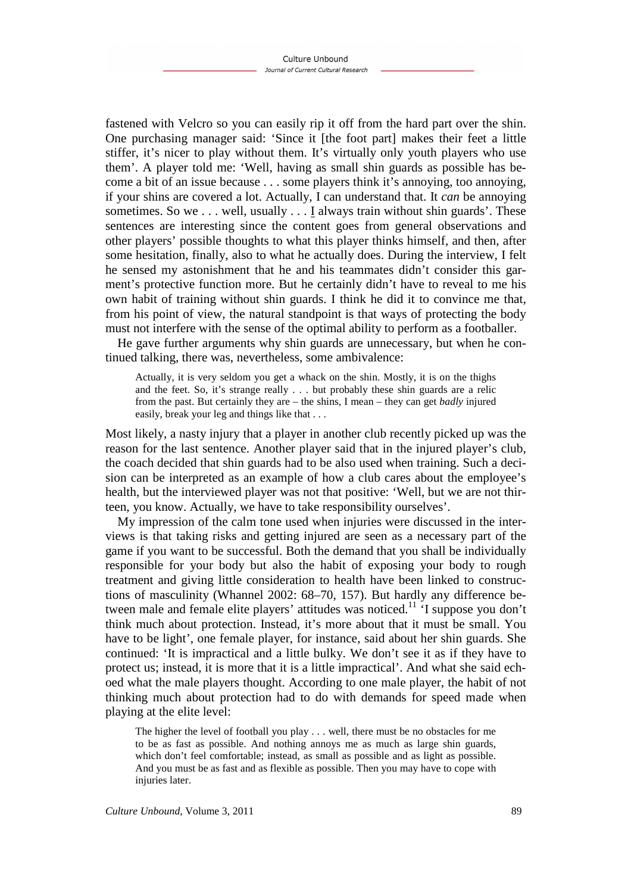fastened with Velcro so you can easily rip it off from the hard part over the shin. One purchasing manager said: 'Since it [the foot part] makes their feet a little stiffer, it's nicer to play without them. It's virtually only youth players who use them'. A player told me: 'Well, having as small shin guards as possible has become a bit of an issue because . . . some players think it's annoying, too annoying, if your shins are covered a lot. Actually, I can understand that. It *can* be annoying sometimes. So we . . . well, usually . . . I always train without shin guards'. These sentences are interesting since the content goes from general observations and other players' possible thoughts to what this player thinks himself, and then, after some hesitation, finally, also to what he actually does. During the interview, I felt he sensed my astonishment that he and his teammates didn't consider this garment's protective function more. But he certainly didn't have to reveal to me his own habit of training without shin guards. I think he did it to convince me that, from his point of view, the natural standpoint is that ways of protecting the body must not interfere with the sense of the optimal ability to perform as a footballer.

He gave further arguments why shin guards are unnecessary, but when he continued talking, there was, nevertheless, some ambivalence:

Actually, it is very seldom you get a whack on the shin. Mostly, it is on the thighs and the feet. So, it's strange really . . . but probably these shin guards are a relic from the past. But certainly they are – the shins, I mean – they can get *badly* injured easily, break your leg and things like that . . .

Most likely, a nasty injury that a player in another club recently picked up was the reason for the last sentence. Another player said that in the injured player's club, the coach decided that shin guards had to be also used when training. Such a decision can be interpreted as an example of how a club cares about the employee's health, but the interviewed player was not that positive: 'Well, but we are not thirteen, you know. Actually, we have to take responsibility ourselves'.

My impression of the calm tone used when injuries were discussed in the interviews is that taking risks and getting injured are seen as a necessary part of the game if you want to be successful. Both the demand that you shall be individually responsible for your body but also the habit of exposing your body to rough treatment and giving little consideration to health have been linked to constructions of masculinity (Whannel 2002: 68–70, 157). But hardly any difference between male and female elite players' attitudes was noticed.<sup>11</sup> 'I suppose you don't think much about protection. Instead, it's more about that it must be small. You have to be light', one female player, for instance, said about her shin guards. She continued: 'It is impractical and a little bulky. We don't see it as if they have to protect us; instead, it is more that it is a little impractical'. And what she said echoed what the male players thought. According to one male player, the habit of not thinking much about protection had to do with demands for speed made when playing at the elite level:

The higher the level of football you play . . . well, there must be no obstacles for me to be as fast as possible. And nothing annoys me as much as large shin guards, which don't feel comfortable; instead, as small as possible and as light as possible. And you must be as fast and as flexible as possible. Then you may have to cope with injuries later.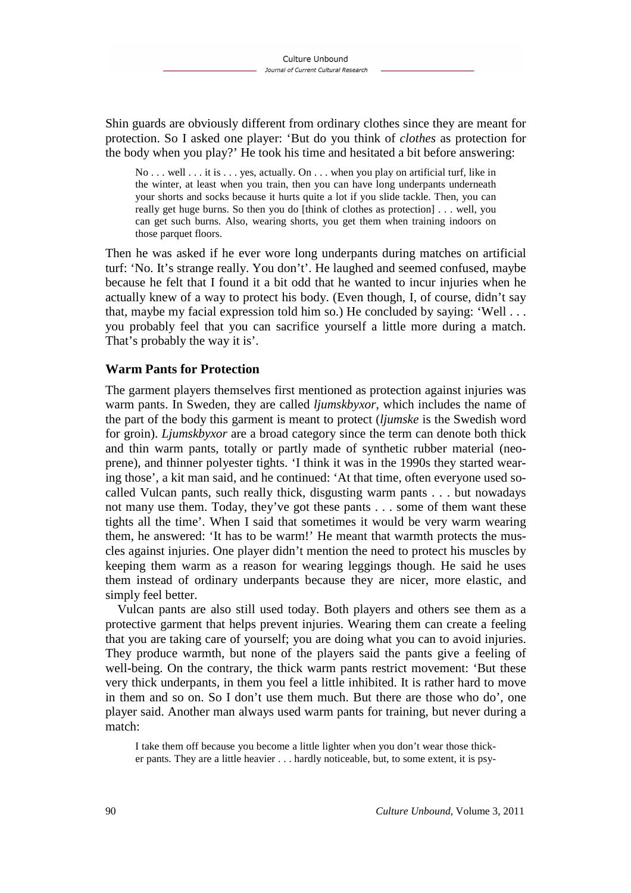Shin guards are obviously different from ordinary clothes since they are meant for protection. So I asked one player: 'But do you think of *clothes* as protection for the body when you play?' He took his time and hesitated a bit before answering:

No . . . well . . . it is . . . yes. actually. On . . . when you play on artificial turf, like in the winter, at least when you train, then you can have long underpants underneath your shorts and socks because it hurts quite a lot if you slide tackle. Then, you can really get huge burns. So then you do [think of clothes as protection] . . . well, you can get such burns. Also, wearing shorts, you get them when training indoors on those parquet floors.

Then he was asked if he ever wore long underpants during matches on artificial turf: 'No. It's strange really. You don't'. He laughed and seemed confused, maybe because he felt that I found it a bit odd that he wanted to incur injuries when he actually knew of a way to protect his body. (Even though, I, of course, didn't say that, maybe my facial expression told him so.) He concluded by saying: 'Well . . . you probably feel that you can sacrifice yourself a little more during a match. That's probably the way it is'.

#### **Warm Pants for Protection**

The garment players themselves first mentioned as protection against injuries was warm pants. In Sweden, they are called *ljumskbyxor*, which includes the name of the part of the body this garment is meant to protect (*ljumske* is the Swedish word for groin). *Ljumskbyxor* are a broad category since the term can denote both thick and thin warm pants, totally or partly made of synthetic rubber material (neoprene), and thinner polyester tights. 'I think it was in the 1990s they started wearing those', a kit man said, and he continued: 'At that time, often everyone used socalled Vulcan pants, such really thick, disgusting warm pants . . . but nowadays not many use them. Today, they've got these pants . . . some of them want these tights all the time'. When I said that sometimes it would be very warm wearing them, he answered: 'It has to be warm!' He meant that warmth protects the muscles against injuries. One player didn't mention the need to protect his muscles by keeping them warm as a reason for wearing leggings though. He said he uses them instead of ordinary underpants because they are nicer, more elastic, and simply feel better.

Vulcan pants are also still used today. Both players and others see them as a protective garment that helps prevent injuries. Wearing them can create a feeling that you are taking care of yourself; you are doing what you can to avoid injuries. They produce warmth, but none of the players said the pants give a feeling of well-being. On the contrary, the thick warm pants restrict movement: 'But these very thick underpants, in them you feel a little inhibited. It is rather hard to move in them and so on. So I don't use them much. But there are those who do', one player said. Another man always used warm pants for training, but never during a match:

I take them off because you become a little lighter when you don't wear those thicker pants. They are a little heavier . . . hardly noticeable, but, to some extent, it is psy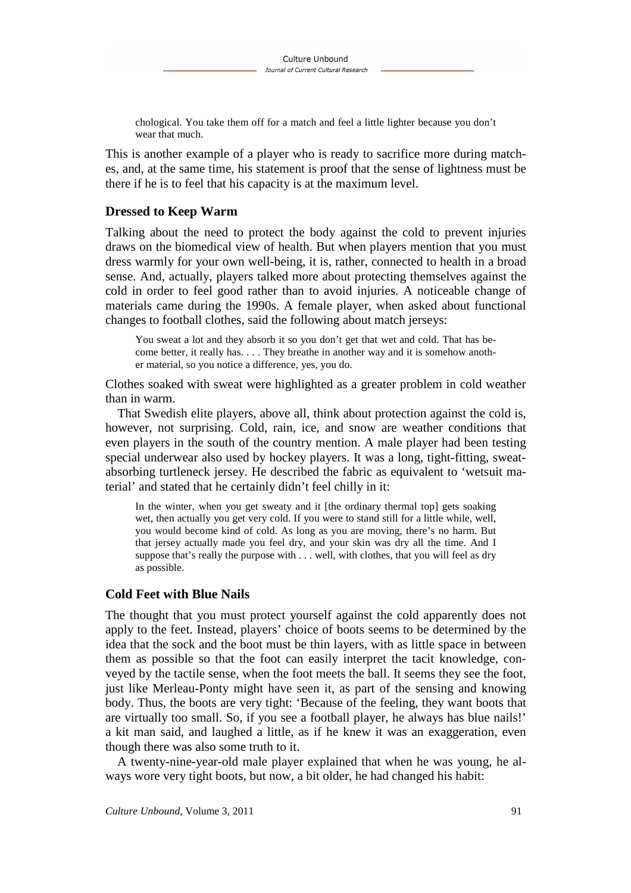chological. You take them off for a match and feel a little lighter because you don't wear that much.

This is another example of a player who is ready to sacrifice more during matches, and, at the same time, his statement is proof that the sense of lightness must be there if he is to feel that his capacity is at the maximum level.

#### **Dressed to Keep Warm**

Talking about the need to protect the body against the cold to prevent injuries draws on the biomedical view of health. But when players mention that you must dress warmly for your own well-being, it is, rather, connected to health in a broad sense. And, actually, players talked more about protecting themselves against the cold in order to feel good rather than to avoid injuries. A noticeable change of materials came during the 1990s. A female player, when asked about functional changes to football clothes, said the following about match jerseys:

You sweat a lot and they absorb it so you don't get that wet and cold. That has become better, it really has. . . . They breathe in another way and it is somehow another material, so you notice a difference, yes, you do.

Clothes soaked with sweat were highlighted as a greater problem in cold weather than in warm.

That Swedish elite players, above all, think about protection against the cold is, however, not surprising. Cold, rain, ice, and snow are weather conditions that even players in the south of the country mention. A male player had been testing special underwear also used by hockey players. It was a long, tight-fitting, sweatabsorbing turtleneck jersey. He described the fabric as equivalent to 'wetsuit material' and stated that he certainly didn't feel chilly in it:

In the winter, when you get sweaty and it [the ordinary thermal top] gets soaking wet, then actually you get very cold. If you were to stand still for a little while, well, you would become kind of cold. As long as you are moving, there's no harm. But that jersey actually made you feel dry, and your skin was dry all the time. And I suppose that's really the purpose with . . . well, with clothes, that you will feel as dry as possible.

#### **Cold Feet with Blue Nails**

The thought that you must protect yourself against the cold apparently does not apply to the feet. Instead, players' choice of boots seems to be determined by the idea that the sock and the boot must be thin layers, with as little space in between them as possible so that the foot can easily interpret the tacit knowledge, conveyed by the tactile sense, when the foot meets the ball. It seems they see the foot, just like Merleau-Ponty might have seen it, as part of the sensing and knowing body. Thus, the boots are very tight: 'Because of the feeling, they want boots that are virtually too small. So, if you see a football player, he always has blue nails!' a kit man said, and laughed a little, as if he knew it was an exaggeration, even though there was also some truth to it.

A twenty-nine-year-old male player explained that when he was young, he always wore very tight boots, but now, a bit older, he had changed his habit: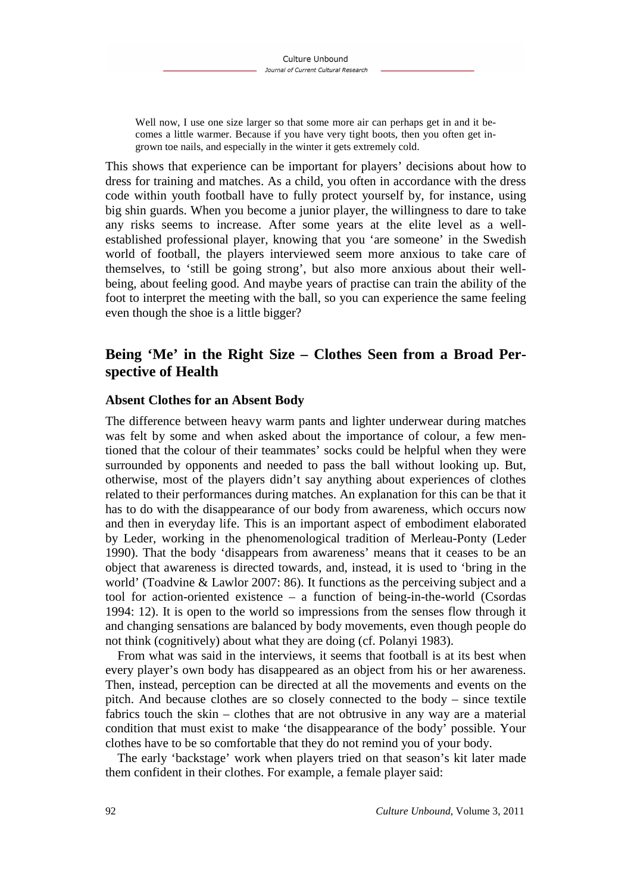Well now, I use one size larger so that some more air can perhaps get in and it becomes a little warmer. Because if you have very tight boots, then you often get ingrown toe nails, and especially in the winter it gets extremely cold.

This shows that experience can be important for players' decisions about how to dress for training and matches. As a child, you often in accordance with the dress code within youth football have to fully protect yourself by, for instance, using big shin guards. When you become a junior player, the willingness to dare to take any risks seems to increase. After some years at the elite level as a wellestablished professional player, knowing that you 'are someone' in the Swedish world of football, the players interviewed seem more anxious to take care of themselves, to 'still be going strong', but also more anxious about their wellbeing, about feeling good. And maybe years of practise can train the ability of the foot to interpret the meeting with the ball, so you can experience the same feeling even though the shoe is a little bigger?

# **Being 'Me' in the Right Size – Clothes Seen from a Broad Perspective of Health**

#### **Absent Clothes for an Absent Body**

The difference between heavy warm pants and lighter underwear during matches was felt by some and when asked about the importance of colour, a few mentioned that the colour of their teammates' socks could be helpful when they were surrounded by opponents and needed to pass the ball without looking up. But, otherwise, most of the players didn't say anything about experiences of clothes related to their performances during matches. An explanation for this can be that it has to do with the disappearance of our body from awareness, which occurs now and then in everyday life. This is an important aspect of embodiment elaborated by Leder, working in the phenomenological tradition of Merleau-Ponty (Leder 1990). That the body 'disappears from awareness' means that it ceases to be an object that awareness is directed towards, and, instead, it is used to 'bring in the world' (Toadvine & Lawlor 2007: 86). It functions as the perceiving subject and a tool for action-oriented existence – a function of being-in-the-world (Csordas 1994: 12). It is open to the world so impressions from the senses flow through it and changing sensations are balanced by body movements, even though people do not think (cognitively) about what they are doing (cf. Polanyi 1983).

From what was said in the interviews, it seems that football is at its best when every player's own body has disappeared as an object from his or her awareness. Then, instead, perception can be directed at all the movements and events on the pitch. And because clothes are so closely connected to the body – since textile fabrics touch the skin – clothes that are not obtrusive in any way are a material condition that must exist to make 'the disappearance of the body' possible. Your clothes have to be so comfortable that they do not remind you of your body.

The early 'backstage' work when players tried on that season's kit later made them confident in their clothes. For example, a female player said: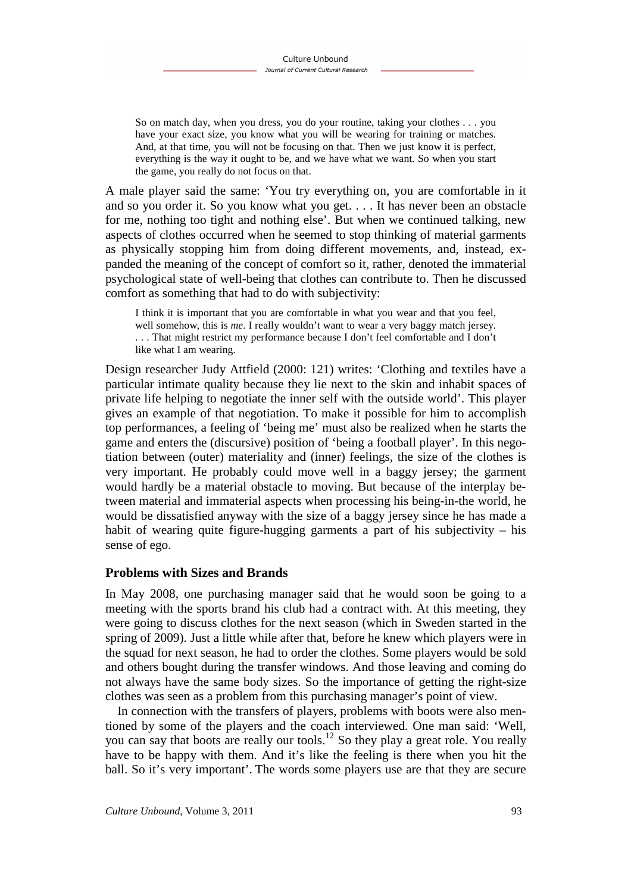So on match day, when you dress, you do your routine, taking your clothes . . . you have your exact size, you know what you will be wearing for training or matches. And, at that time, you will not be focusing on that. Then we just know it is perfect, everything is the way it ought to be, and we have what we want. So when you start the game, you really do not focus on that.

A male player said the same: 'You try everything on, you are comfortable in it and so you order it. So you know what you get. . . . It has never been an obstacle for me, nothing too tight and nothing else'. But when we continued talking, new aspects of clothes occurred when he seemed to stop thinking of material garments as physically stopping him from doing different movements, and, instead, expanded the meaning of the concept of comfort so it, rather, denoted the immaterial psychological state of well-being that clothes can contribute to. Then he discussed comfort as something that had to do with subjectivity:

I think it is important that you are comfortable in what you wear and that you feel, well somehow, this is *me*. I really wouldn't want to wear a very baggy match jersey. . . . That might restrict my performance because I don't feel comfortable and I don't like what I am wearing.

Design researcher Judy Attfield (2000: 121) writes: 'Clothing and textiles have a particular intimate quality because they lie next to the skin and inhabit spaces of private life helping to negotiate the inner self with the outside world'. This player gives an example of that negotiation. To make it possible for him to accomplish top performances, a feeling of 'being me' must also be realized when he starts the game and enters the (discursive) position of 'being a football player'. In this negotiation between (outer) materiality and (inner) feelings, the size of the clothes is very important. He probably could move well in a baggy jersey; the garment would hardly be a material obstacle to moving. But because of the interplay between material and immaterial aspects when processing his being-in-the world, he would be dissatisfied anyway with the size of a baggy jersey since he has made a habit of wearing quite figure-hugging garments a part of his subjectivity – his sense of ego.

#### **Problems with Sizes and Brands**

In May 2008, one purchasing manager said that he would soon be going to a meeting with the sports brand his club had a contract with. At this meeting, they were going to discuss clothes for the next season (which in Sweden started in the spring of 2009). Just a little while after that, before he knew which players were in the squad for next season, he had to order the clothes. Some players would be sold and others bought during the transfer windows. And those leaving and coming do not always have the same body sizes. So the importance of getting the right-size clothes was seen as a problem from this purchasing manager's point of view.

In connection with the transfers of players, problems with boots were also mentioned by some of the players and the coach interviewed. One man said: 'Well, you can say that boots are really our tools.<sup>12</sup> So they play a great role. You really have to be happy with them. And it's like the feeling is there when you hit the ball. So it's very important'. The words some players use are that they are secure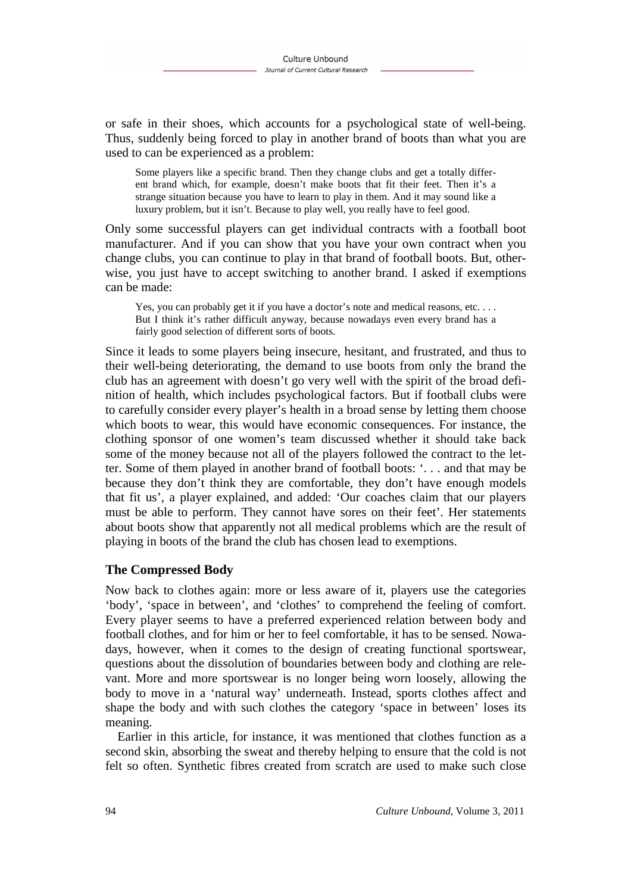or safe in their shoes, which accounts for a psychological state of well-being. Thus, suddenly being forced to play in another brand of boots than what you are used to can be experienced as a problem:

Some players like a specific brand. Then they change clubs and get a totally different brand which, for example, doesn't make boots that fit their feet. Then it's a strange situation because you have to learn to play in them. And it may sound like a luxury problem, but it isn't. Because to play well, you really have to feel good.

Only some successful players can get individual contracts with a football boot manufacturer. And if you can show that you have your own contract when you change clubs, you can continue to play in that brand of football boots. But, otherwise, you just have to accept switching to another brand. I asked if exemptions can be made:

Yes, you can probably get it if you have a doctor's note and medical reasons, etc.... But I think it's rather difficult anyway, because nowadays even every brand has a fairly good selection of different sorts of boots.

Since it leads to some players being insecure, hesitant, and frustrated, and thus to their well-being deteriorating, the demand to use boots from only the brand the club has an agreement with doesn't go very well with the spirit of the broad definition of health, which includes psychological factors. But if football clubs were to carefully consider every player's health in a broad sense by letting them choose which boots to wear, this would have economic consequences. For instance, the clothing sponsor of one women's team discussed whether it should take back some of the money because not all of the players followed the contract to the letter. Some of them played in another brand of football boots: '. . . and that may be because they don't think they are comfortable, they don't have enough models that fit us', a player explained, and added: 'Our coaches claim that our players must be able to perform. They cannot have sores on their feet'. Her statements about boots show that apparently not all medical problems which are the result of playing in boots of the brand the club has chosen lead to exemptions.

### **The Compressed Body**

Now back to clothes again: more or less aware of it, players use the categories 'body', 'space in between', and 'clothes' to comprehend the feeling of comfort. Every player seems to have a preferred experienced relation between body and football clothes, and for him or her to feel comfortable, it has to be sensed. Nowadays, however, when it comes to the design of creating functional sportswear, questions about the dissolution of boundaries between body and clothing are relevant. More and more sportswear is no longer being worn loosely, allowing the body to move in a 'natural way' underneath. Instead, sports clothes affect and shape the body and with such clothes the category 'space in between' loses its meaning.

Earlier in this article, for instance, it was mentioned that clothes function as a second skin, absorbing the sweat and thereby helping to ensure that the cold is not felt so often. Synthetic fibres created from scratch are used to make such close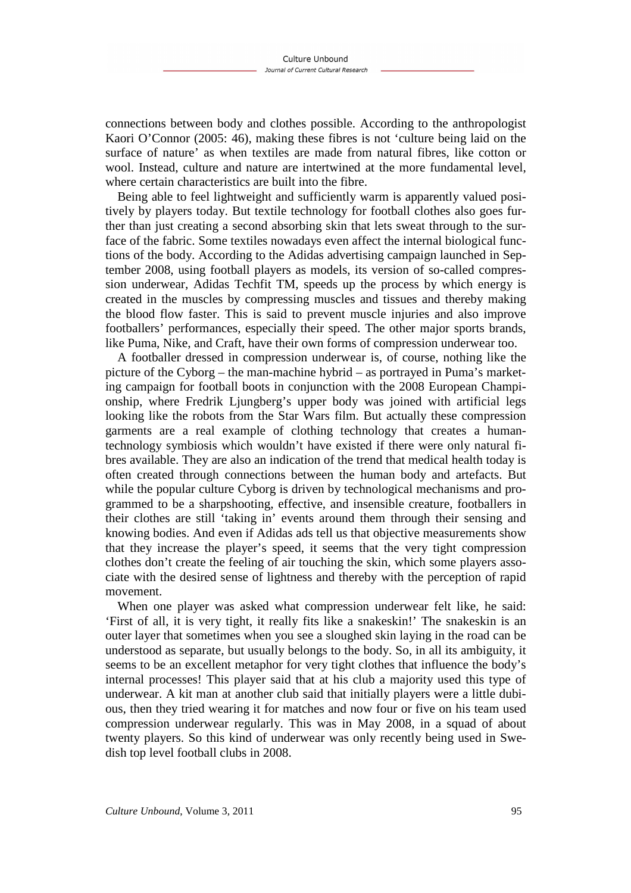connections between body and clothes possible. According to the anthropologist Kaori O'Connor (2005: 46), making these fibres is not 'culture being laid on the surface of nature' as when textiles are made from natural fibres, like cotton or wool. Instead, culture and nature are intertwined at the more fundamental level, where certain characteristics are built into the fibre.

Being able to feel lightweight and sufficiently warm is apparently valued positively by players today. But textile technology for football clothes also goes further than just creating a second absorbing skin that lets sweat through to the surface of the fabric. Some textiles nowadays even affect the internal biological functions of the body. According to the Adidas advertising campaign launched in September 2008, using football players as models, its version of so-called compression underwear, Adidas Techfit TM, speeds up the process by which energy is created in the muscles by compressing muscles and tissues and thereby making the blood flow faster. This is said to prevent muscle injuries and also improve footballers' performances, especially their speed. The other major sports brands, like Puma, Nike, and Craft, have their own forms of compression underwear too.

A footballer dressed in compression underwear is, of course, nothing like the picture of the Cyborg – the man-machine hybrid – as portrayed in Puma's marketing campaign for football boots in conjunction with the 2008 European Championship, where Fredrik Ljungberg's upper body was joined with artificial legs looking like the robots from the Star Wars film. But actually these compression garments are a real example of clothing technology that creates a humantechnology symbiosis which wouldn't have existed if there were only natural fibres available. They are also an indication of the trend that medical health today is often created through connections between the human body and artefacts. But while the popular culture Cyborg is driven by technological mechanisms and programmed to be a sharpshooting, effective, and insensible creature, footballers in their clothes are still 'taking in' events around them through their sensing and knowing bodies. And even if Adidas ads tell us that objective measurements show that they increase the player's speed, it seems that the very tight compression clothes don't create the feeling of air touching the skin, which some players associate with the desired sense of lightness and thereby with the perception of rapid movement.

When one player was asked what compression underwear felt like, he said: 'First of all, it is very tight, it really fits like a snakeskin!' The snakeskin is an outer layer that sometimes when you see a sloughed skin laying in the road can be understood as separate, but usually belongs to the body. So, in all its ambiguity, it seems to be an excellent metaphor for very tight clothes that influence the body's internal processes! This player said that at his club a majority used this type of underwear. A kit man at another club said that initially players were a little dubious, then they tried wearing it for matches and now four or five on his team used compression underwear regularly. This was in May 2008, in a squad of about twenty players. So this kind of underwear was only recently being used in Swedish top level football clubs in 2008.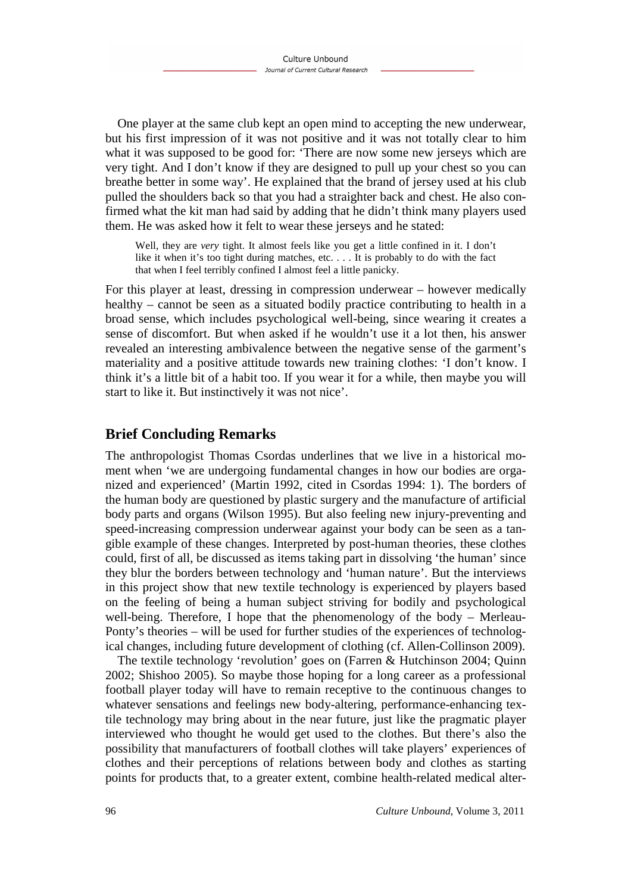One player at the same club kept an open mind to accepting the new underwear, but his first impression of it was not positive and it was not totally clear to him what it was supposed to be good for: 'There are now some new jerseys which are very tight. And I don't know if they are designed to pull up your chest so you can breathe better in some way'. He explained that the brand of jersey used at his club pulled the shoulders back so that you had a straighter back and chest. He also confirmed what the kit man had said by adding that he didn't think many players used them. He was asked how it felt to wear these jerseys and he stated:

Well, they are *very* tight. It almost feels like you get a little confined in it. I don't like it when it's too tight during matches, etc. . . . It is probably to do with the fact that when I feel terribly confined I almost feel a little panicky.

For this player at least, dressing in compression underwear – however medically healthy – cannot be seen as a situated bodily practice contributing to health in a broad sense, which includes psychological well-being, since wearing it creates a sense of discomfort. But when asked if he wouldn't use it a lot then, his answer revealed an interesting ambivalence between the negative sense of the garment's materiality and a positive attitude towards new training clothes: 'I don't know. I think it's a little bit of a habit too. If you wear it for a while, then maybe you will start to like it. But instinctively it was not nice'.

# **Brief Concluding Remarks**

The anthropologist Thomas Csordas underlines that we live in a historical moment when 'we are undergoing fundamental changes in how our bodies are organized and experienced' (Martin 1992, cited in Csordas 1994: 1). The borders of the human body are questioned by plastic surgery and the manufacture of artificial body parts and organs (Wilson 1995). But also feeling new injury-preventing and speed-increasing compression underwear against your body can be seen as a tangible example of these changes. Interpreted by post-human theories, these clothes could, first of all, be discussed as items taking part in dissolving 'the human' since they blur the borders between technology and 'human nature'. But the interviews in this project show that new textile technology is experienced by players based on the feeling of being a human subject striving for bodily and psychological well-being. Therefore, I hope that the phenomenology of the body – Merleau-Ponty's theories – will be used for further studies of the experiences of technological changes, including future development of clothing (cf. Allen-Collinson 2009).

The textile technology 'revolution' goes on (Farren & Hutchinson 2004; Quinn 2002; Shishoo 2005). So maybe those hoping for a long career as a professional football player today will have to remain receptive to the continuous changes to whatever sensations and feelings new body-altering, performance-enhancing textile technology may bring about in the near future, just like the pragmatic player interviewed who thought he would get used to the clothes. But there's also the possibility that manufacturers of football clothes will take players' experiences of clothes and their perceptions of relations between body and clothes as starting points for products that, to a greater extent, combine health-related medical alter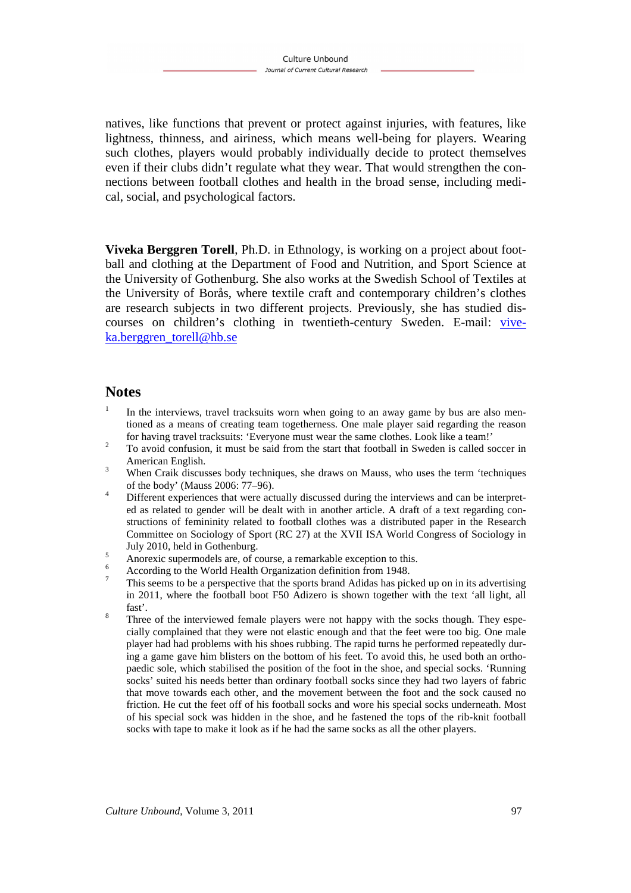natives, like functions that prevent or protect against injuries, with features, like lightness, thinness, and airiness, which means well-being for players. Wearing such clothes, players would probably individually decide to protect themselves even if their clubs didn't regulate what they wear. That would strengthen the connections between football clothes and health in the broad sense, including medical, social, and psychological factors.

**Viveka Berggren Torell**, Ph.D. in Ethnology, is working on a project about football and clothing at the Department of Food and Nutrition, and Sport Science at the University of Gothenburg. She also works at the Swedish School of Textiles at the University of Borås, where textile craft and contemporary children's clothes are research subjects in two different projects. Previously, she has studied discourses on children's clothing in twentieth-century Sweden. E-mail: viveka.berggren\_torell@hb.se

#### **Notes**

- 1 In the interviews, travel tracksuits worn when going to an away game by bus are also mentioned as a means of creating team togetherness. One male player said regarding the reason for having travel tracksuits: 'Everyone must wear the same clothes. Look like a team!'
- $\overline{2}$  To avoid confusion, it must be said from the start that football in Sweden is called soccer in American English.
- 3 When Craik discusses body techniques, she draws on Mauss, who uses the term 'techniques of the body' (Mauss 2006: 77–96).
- 4 Different experiences that were actually discussed during the interviews and can be interpreted as related to gender will be dealt with in another article. A draft of a text regarding constructions of femininity related to football clothes was a distributed paper in the Research Committee on Sociology of Sport (RC 27) at the XVII ISA World Congress of Sociology in July 2010, held in Gothenburg.
- 5 Anorexic supermodels are, of course, a remarkable exception to this.
- 6 According to the World Health Organization definition from 1948.
- 7 This seems to be a perspective that the sports brand Adidas has picked up on in its advertising in 2011, where the football boot F50 Adizero is shown together with the text 'all light, all fast'.
- 8 Three of the interviewed female players were not happy with the socks though. They especially complained that they were not elastic enough and that the feet were too big. One male player had had problems with his shoes rubbing. The rapid turns he performed repeatedly during a game gave him blisters on the bottom of his feet. To avoid this, he used both an orthopaedic sole, which stabilised the position of the foot in the shoe, and special socks. 'Running socks' suited his needs better than ordinary football socks since they had two layers of fabric that move towards each other, and the movement between the foot and the sock caused no friction. He cut the feet off of his football socks and wore his special socks underneath. Most of his special sock was hidden in the shoe, and he fastened the tops of the rib-knit football socks with tape to make it look as if he had the same socks as all the other players.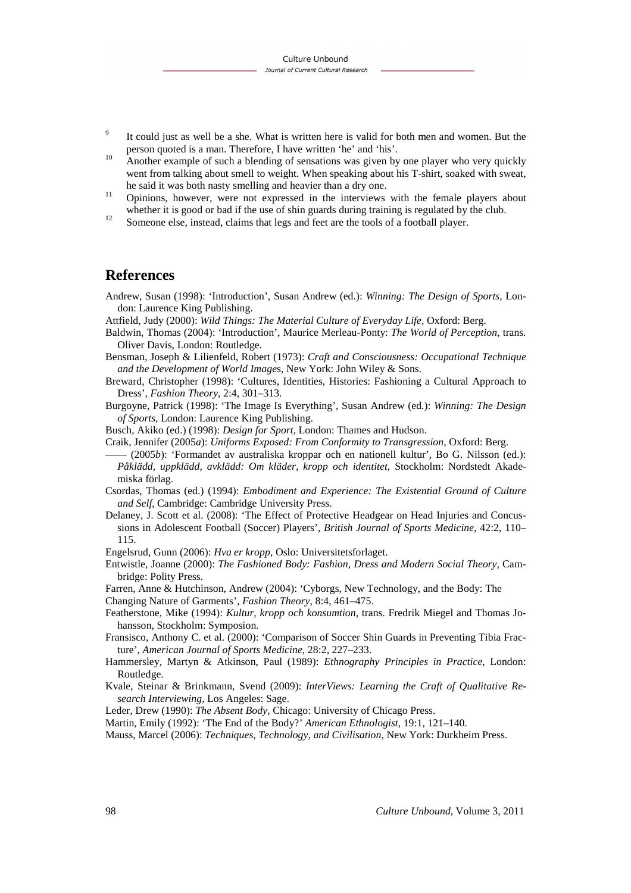- $\overline{9}$  It could just as well be a she. What is written here is valid for both men and women. But the person quoted is a man. Therefore, I have written 'he' and 'his'.
- <sup>10</sup> Another example of such a blending of sensations was given by one player who very quickly went from talking about smell to weight. When speaking about his T-shirt, soaked with sweat, he said it was both nasty smelling and heavier than a dry one.
- <sup>11</sup> Opinions, however, were not expressed in the interviews with the female players about whether it is good or bad if the use of shin guards during training is regulated by the club.
- <sup>12</sup> Someone else, instead, claims that legs and feet are the tools of a football player.

### **References**

- Andrew, Susan (1998): 'Introduction', Susan Andrew (ed.): *Winning: The Design of Sports,* London: Laurence King Publishing.
- Attfield, Judy (2000): *Wild Things: The Material Culture of Everyday Life,* Oxford: Berg.
- Baldwin, Thomas (2004): 'Introduction', Maurice Merleau-Ponty: *The World of Perception*, trans*.*  Oliver Davis, London: Routledge.
- Bensman, Joseph & Lilienfeld, Robert (1973): *Craft and Consciousness: Occupational Technique and the Development of World Image*s, New York: John Wiley & Sons.
- Breward, Christopher (1998): 'Cultures, Identities, Histories: Fashioning a Cultural Approach to Dress', *Fashion Theory,* 2:4, 301–313.
- Burgoyne, Patrick (1998): 'The Image Is Everything', Susan Andrew (ed.): *Winning: The Design of Sports,* London: Laurence King Publishing.
- Busch, Akiko (ed.) (1998): *Design for Sport,* London: Thames and Hudson.
- Craik, Jennifer (2005*a*): *Uniforms Exposed: From Conformity to Transgression,* Oxford: Berg.
- –––– (2005*b*): 'Formandet av australiska kroppar och en nationell kultur', Bo G. Nilsson (ed.): *Påklädd, uppklädd, avklädd: Om kläder, kropp och identitet,* Stockholm: Nordstedt Akademiska förlag.
- Csordas, Thomas (ed.) (1994): *Embodiment and Experience: The Existential Ground of Culture and Self,* Cambridge: Cambridge University Press.
- Delaney, J. Scott et al. (2008): 'The Effect of Protective Headgear on Head Injuries and Concussions in Adolescent Football (Soccer) Players', *British Journal of Sports Medicine,* 42:2, 110– 115.
- Engelsrud, Gunn (2006): *Hva er kropp,* Oslo: Universitetsforlaget.
- Entwistle, Joanne (2000): *The Fashioned Body: Fashion, Dress and Modern Social Theory,* Cambridge: Polity Press.
- Farren, Anne & Hutchinson, Andrew (2004): 'Cyborgs, New Technology, and the Body: The
- Changing Nature of Garments', *Fashion Theory*, 8:4, 461–475.
- Featherstone, Mike (1994): *Kultur, kropp och konsumtion,* trans. Fredrik Miegel and Thomas Johansson, Stockholm: Symposion.
- Fransisco, Anthony C. et al. (2000): 'Comparison of Soccer Shin Guards in Preventing Tibia Fracture', *American Journal of Sports Medicine*, 28:2, 227–233.
- Hammersley, Martyn & Atkinson, Paul (1989): *Ethnography Principles in Practice,* London: Routledge.
- Kvale, Steinar & Brinkmann, Svend (2009): *InterViews: Learning the Craft of Qualitative Research Interviewing*, Los Angeles: Sage.
- Leder, Drew (1990): *The Absent Body,* Chicago: University of Chicago Press.
- Martin, Emily (1992): 'The End of the Body?' *American Ethnologist,* 19:1, 121–140.
- Mauss, Marcel (2006): *Techniques, Technology, and Civilisation,* New York: Durkheim Press.